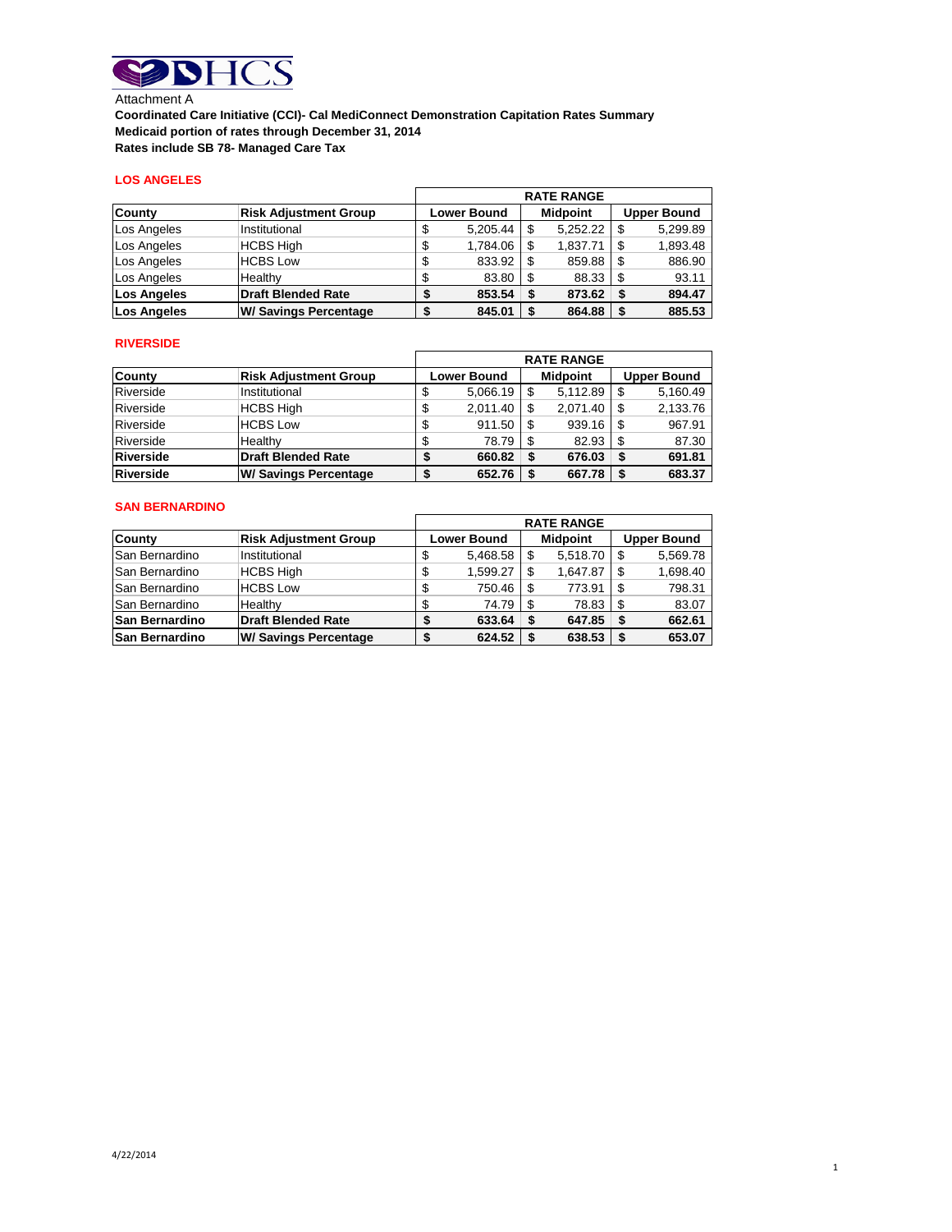

Attachment A **Coordinated Care Initiative (CCI)- Cal MediConnect Demonstration Capitation Rates Summary Medicaid portion of rates through December 31, 2014 Rates include SB 78- Managed Care Tax** 

## **LOS ANGELES**

|                    |                              | <b>RATE RANGE</b>  |      |                 |                    |          |
|--------------------|------------------------------|--------------------|------|-----------------|--------------------|----------|
| County             | <b>Risk Adjustment Group</b> | <b>Lower Bound</b> |      | <b>Midpoint</b> | <b>Upper Bound</b> |          |
| Los Angeles        | Institutional                | 5.205.44           | \$   | 5,252.22        |                    | 5,299.89 |
| Los Angeles        | <b>HCBS High</b>             | 1.784.06           | S    | 1.837.71        |                    | 1,893.48 |
| Los Angeles        | <b>HCBS Low</b>              | 833.92             | 'S   | 859.88          | S                  | 886.90   |
| Los Angeles        | Healthy                      | 83.80              | l \$ | 88.33           |                    | 93.11    |
| <b>Los Angeles</b> | <b>Draft Blended Rate</b>    | 853.54             | -S   | 873.62          |                    | 894.47   |
| Los Angeles        | <b>W/ Savings Percentage</b> | 845.01             |      | 864.88          |                    | 885.53   |

## **RIVERSIDE**

|           |                              | <b>RATE RANGE</b>  |    |                 |  |                    |
|-----------|------------------------------|--------------------|----|-----------------|--|--------------------|
| County    | <b>Risk Adjustment Group</b> | <b>Lower Bound</b> |    | <b>Midpoint</b> |  | <b>Upper Bound</b> |
| Riverside | Institutional                | 5,066.19           | \$ | 5,112.89        |  | 5,160.49           |
| Riverside | <b>HCBS High</b>             | 2,011.40           |    | 2.071.40        |  | 2,133.76           |
| Riverside | <b>HCBS Low</b>              | 911.50             |    | 939.16          |  | 967.91             |
| Riverside | Healthy                      | 78.79              |    | 82.93           |  | 87.30              |
| Riverside | <b>Draft Blended Rate</b>    | 660.82             |    | 676.03          |  | 691.81             |
| Riverside | <b>W/ Savings Percentage</b> | 652.76             |    | 667.78          |  | 683.37             |

### **SAN BERNARDINO**

|                       |                              |   | <b>RATE RANGE</b>  |     |                 |     |                    |
|-----------------------|------------------------------|---|--------------------|-----|-----------------|-----|--------------------|
| <b>County</b>         | <b>Risk Adjustment Group</b> |   | <b>Lower Bound</b> |     | <b>Midpoint</b> |     | <b>Upper Bound</b> |
| <b>San Bernardino</b> | Institutional                | S | 5,468.58           |     | 5,518.70        |     | 5.569.78           |
| <b>San Bernardino</b> | <b>HCBS High</b>             | S | 1.599.27           | -S  | 1.647.87        | \$. | 1,698.40           |
| San Bernardino        | <b>HCBS Low</b>              |   | 750.46             | \$. | 773.91          | \$. | 798.31             |
| <b>San Bernardino</b> | Healthy                      |   | 74.79              |     | 78.83           |     | 83.07              |
| <b>San Bernardino</b> | Draft Blended Rate           |   | 633.64             |     | 647.85          | S   | 662.61             |
| <b>San Bernardino</b> | <b>W/ Savings Percentage</b> |   | 624.52             | £.  | 638.53          |     | 653.07             |